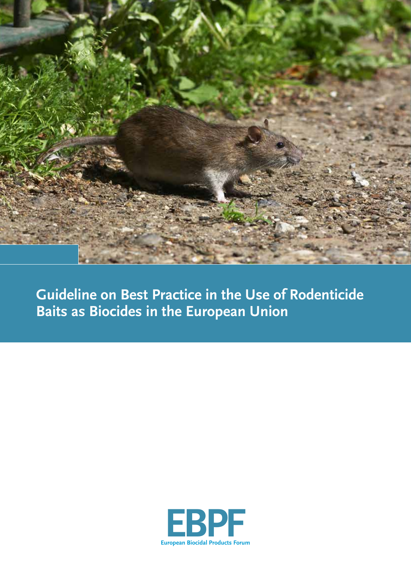

**Guideline on Best Practice in the Use of Rodenticide Baits as Biocides in the European Union**

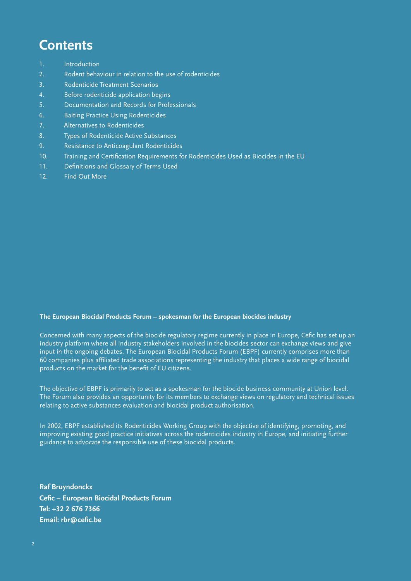## **Contents**

- 1. Introduction
- 2. Rodent behaviour in relation to the use of rodenticides
- 3. Rodenticide Treatment Scenarios
- 4. Before rodenticide application begins
- 5. Documentation and Records for Professionals
- 6. Baiting Practice Using Rodenticides
- 7. Alternatives to Rodenticides
- 8. Types of Rodenticide Active Substances
- 9. Resistance to Anticoagulant Rodenticides
- 10. Training and Certification Requirements for Rodenticides Used as Biocides in the EU
- 11. Definitions and Glossary of Terms Used
- 12. Find Out More

#### **The European Biocidal Products Forum – spokesman for the European biocides industry**

Concerned with many aspects of the biocide regulatory regime currently in place in Europe, Cefic has set up an industry platform where all industry stakeholders involved in the biocides sector can exchange views and give input in the ongoing debates. The European Biocidal Products Forum (EBPF) currently comprises more than 60 companies plus affiliated trade associations representing the industry that places a wide range of biocidal products on the market for the benefit of EU citizens.

The objective of EBPF is primarily to act as a spokesman for the biocide business community at Union level. The Forum also provides an opportunity for its members to exchange views on regulatory and technical issues relating to active substances evaluation and biocidal product authorisation.

In 2002, EBPF established its Rodenticides Working Group with the objective of identifying, promoting, and improving existing good practice initiatives across the rodenticides industry in Europe, and initiating further guidance to advocate the responsible use of these biocidal products.

**Raf Bruyndonckx Cefic – European Biocidal Products Forum Tel: +32 2 676 7366 Email: rbr@cefic.be**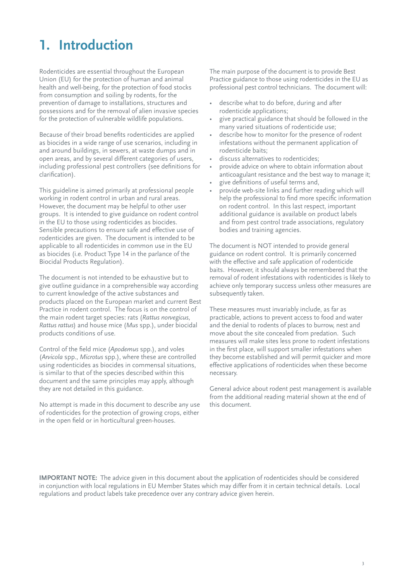# **1. Introduction**

Rodenticides are essential throughout the European Union (EU) for the protection of human and animal health and well-being, for the protection of food stocks from consumption and soiling by rodents, for the prevention of damage to installations, structures and possessions and for the removal of alien invasive species for the protection of vulnerable wildlife populations.

Because of their broad benefits rodenticides are applied as biocides in a wide range of use scenarios, including in and around buildings, in sewers, at waste dumps and in open areas, and by several different categories of users, including professional pest controllers (see definitions for clarification).

This guideline is aimed primarily at professional people working in rodent control in urban and rural areas. However, the document may be helpful to other user groups. It is intended to give guidance on rodent control in the EU to those using rodenticides as biocides. Sensible precautions to ensure safe and effective use of rodenticides are given. The document is intended to be applicable to all rodenticides in common use in the EU as biocides (i.e. Product Type 14 in the parlance of the Biocidal Products Regulation).

The document is not intended to be exhaustive but to give outline guidance in a comprehensible way according to current knowledge of the active substances and products placed on the European market and current Best Practice in rodent control. The focus is on the control of the main rodent target species: rats (*Rattus norvegicus*, *Rattus rattus*) and house mice (*Mus* spp.), under biocidal products conditions of use.

Control of the field mice (*Apodemus* spp.), and voles (*Arvicola* spp., *Microtus* spp.), where these are controlled using rodenticides as biocides in commensal situations, is similar to that of the species described within this document and the same principles may apply, although they are not detailed in this guidance.

No attempt is made in this document to describe any use of rodenticides for the protection of growing crops, either in the open field or in horticultural green-houses.

The main purpose of the document is to provide Best Practice guidance to those using rodenticides in the EU as professional pest control technicians. The document will:

- describe what to do before, during and after rodenticide applications;
- give practical guidance that should be followed in the many varied situations of rodenticide use;
- describe how to monitor for the presence of rodent infestations without the permanent application of rodenticide baits;
- discuss alternatives to rodenticides;
- provide advice on where to obtain information about anticoagulant resistance and the best way to manage it;
- give definitions of useful terms and,
- provide web-site links and further reading which will help the professional to find more specific information on rodent control. In this last respect, important additional guidance is available on product labels and from pest control trade associations, regulatory bodies and training agencies.

The document is NOT intended to provide general guidance on rodent control. It is primarily concerned with the effective and safe application of rodenticide baits. However, it should always be remembered that the removal of rodent infestations with rodenticides is likely to achieve only temporary success unless other measures are subsequently taken.

These measures must invariably include, as far as practicable, actions to prevent access to food and water and the denial to rodents of places to burrow, nest and move about the site concealed from predation. Such measures will make sites less prone to rodent infestations in the first place, will support smaller infestations when they become established and will permit quicker and more effective applications of rodenticides when these become necessary.

General advice about rodent pest management is available from the additional reading material shown at the end of this document.

**IMPORTANT NOTE:** The advice given in this document about the application of rodenticides should be considered in conjunction with local regulations in EU Member States which may differ from it in certain technical details. Local regulations and product labels take precedence over any contrary advice given herein.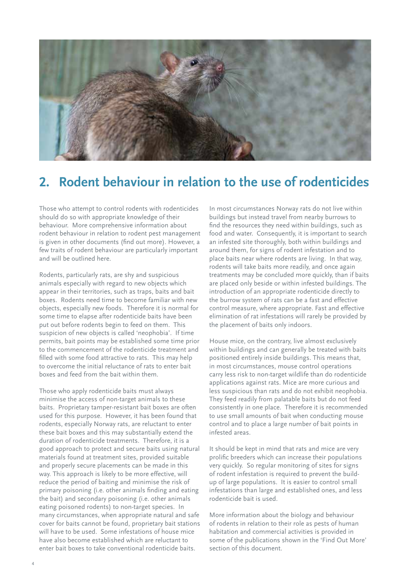

## **2. Rodent behaviour in relation to the use of rodenticides**

Those who attempt to control rodents with rodenticides should do so with appropriate knowledge of their behaviour. More comprehensive information about rodent behaviour in relation to rodent pest management is given in other documents (find out more). However, a few traits of rodent behaviour are particularly important and will be outlined here.

Rodents, particularly rats, are shy and suspicious animals especially with regard to new objects which appear in their territories, such as traps, baits and bait boxes. Rodents need time to become familiar with new objects, especially new foods. Therefore it is normal for some time to elapse after rodenticide baits have been put out before rodents begin to feed on them. This suspicion of new objects is called 'neophobia'. If time permits, bait points may be established some time prior to the commencement of the rodenticide treatment and filled with some food attractive to rats. This may help to overcome the initial reluctance of rats to enter bait boxes and feed from the bait within them.

Those who apply rodenticide baits must always minimise the access of non-target animals to these baits. Proprietary tamper-resistant bait boxes are often used for this purpose. However, it has been found that rodents, especially Norway rats, are reluctant to enter these bait boxes and this may substantially extend the duration of rodenticide treatments. Therefore, it is a good approach to protect and secure baits using natural materials found at treatment sites, provided suitable and properly secure placements can be made in this way. This approach is likely to be more effective, will reduce the period of baiting and minimise the risk of primary poisoning (i.e. other animals finding and eating the bait) and secondary poisoning (i.e. other animals eating poisoned rodents) to non-target species. In many circumstances, when appropriate natural and safe cover for baits cannot be found, proprietary bait stations will have to be used. Some infestations of house mice have also become established which are reluctant to enter bait boxes to take conventional rodenticide baits.

In most circumstances Norway rats do not live within buildings but instead travel from nearby burrows to find the resources they need within buildings, such as food and water. Consequently, it is important to search an infested site thoroughly, both within buildings and around them, for signs of rodent infestation and to place baits near where rodents are living. In that way, rodents will take baits more readily, and once again treatments may be concluded more quickly, than if baits are placed only beside or within infested buildings. The introduction of an appropriate rodenticide directly to the burrow system of rats can be a fast and effective control measure, where appropriate. Fast and effective elimination of rat infestations will rarely be provided by the placement of baits only indoors.

House mice, on the contrary, live almost exclusively within buildings and can generally be treated with baits positioned entirely inside buildings. This means that, in most circumstances, mouse control operations carry less risk to non-target wildlife than do rodenticide applications against rats. Mice are more curious and less suspicious than rats and do not exhibit neophobia. They feed readily from palatable baits but do not feed consistently in one place. Therefore it is recommended to use small amounts of bait when conducting mouse control and to place a large number of bait points in infested areas.

It should be kept in mind that rats and mice are very prolific breeders which can increase their populations very quickly. So regular monitoring of sites for signs of rodent infestation is required to prevent the buildup of large populations. It is easier to control small infestations than large and established ones, and less rodenticide bait is used.

More information about the biology and behaviour of rodents in relation to their role as pests of human habitation and commercial activities is provided in some of the publications shown in the 'Find Out More' section of this document.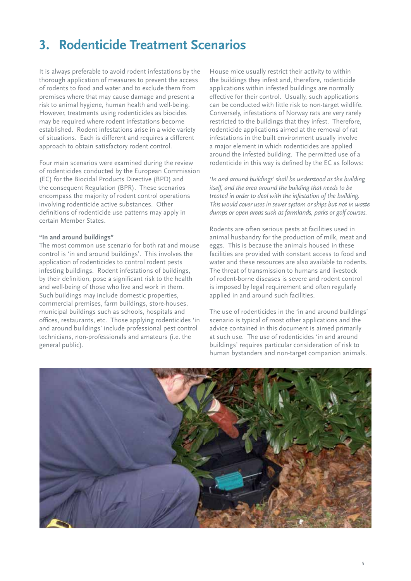## **3. Rodenticide Treatment Scenarios**

It is always preferable to avoid rodent infestations by the thorough application of measures to prevent the access of rodents to food and water and to exclude them from premises where that may cause damage and present a risk to animal hygiene, human health and well-being. However, treatments using rodenticides as biocides may be required where rodent infestations become established. Rodent infestations arise in a wide variety of situations. Each is different and requires a different approach to obtain satisfactory rodent control.

Four main scenarios were examined during the review of rodenticides conducted by the European Commission (EC) for the Biocidal Products Directive (BPD) and the consequent Regulation (BPR). These scenarios encompass the majority of rodent control operations involving rodenticide active substances. Other definitions of rodenticide use patterns may apply in certain Member States.

#### **"In and around buildings"**

The most common use scenario for both rat and mouse control is 'in and around buildings'. This involves the application of rodenticides to control rodent pests infesting buildings. Rodent infestations of buildings, by their definition, pose a significant risk to the health and well-being of those who live and work in them. Such buildings may include domestic properties, commercial premises, farm buildings, store-houses, municipal buildings such as schools, hospitals and offices, restaurants, etc. Those applying rodenticides 'in and around buildings' include professional pest control technicians, non-professionals and amateurs (i.e. the general public).

House mice usually restrict their activity to within the buildings they infest and, therefore, rodenticide applications within infested buildings are normally effective for their control. Usually, such applications can be conducted with little risk to non-target wildlife. Conversely, infestations of Norway rats are very rarely restricted to the buildings that they infest. Therefore, rodenticide applications aimed at the removal of rat infestations in the built environment usually involve a major element in which rodenticides are applied around the infested building. The permitted use of a rodenticide in this way is defined by the EC as follows:

*'In and around buildings' shall be understood as the building itself, and the area around the building that needs to be treated in order to deal with the infestation of the building. This would cover uses in sewer system or ships but not in waste dumps or open areas such as farmlands, parks or golf courses.*

Rodents are often serious pests at facilities used in animal husbandry for the production of milk, meat and eggs. This is because the animals housed in these facilities are provided with constant access to food and water and these resources are also available to rodents. The threat of transmission to humans and livestock of rodent-borne diseases is severe and rodent control is imposed by legal requirement and often regularly applied in and around such facilities.

The use of rodenticides in the 'in and around buildings' scenario is typical of most other applications and the advice contained in this document is aimed primarily at such use. The use of rodenticides 'in and around buildings' requires particular consideration of risk to human bystanders and non-target companion animals.

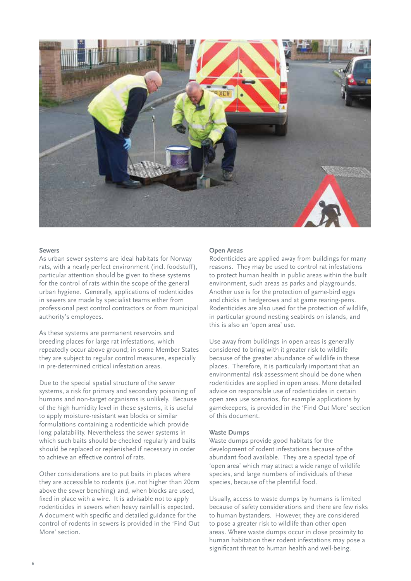

#### **Sewers**

As urban sewer systems are ideal habitats for Norway rats, with a nearly perfect environment (incl. foodstuff), particular attention should be given to these systems for the control of rats within the scope of the general urban hygiene. Generally, applications of rodenticides in sewers are made by specialist teams either from professional pest control contractors or from municipal authority's employees.

As these systems are permanent reservoirs and breeding places for large rat infestations, which repeatedly occur above ground; in some Member States they are subject to regular control measures, especially in pre-determined critical infestation areas.

Due to the special spatial structure of the sewer systems, a risk for primary and secondary poisoning of humans and non-target organisms is unlikely. Because of the high humidity level in these systems, it is useful to apply moisture-resistant wax blocks or similar formulations containing a rodenticide which provide long palatability. Nevertheless the sewer systems in which such baits should be checked regularly and baits should be replaced or replenished if necessary in order to achieve an effective control of rats.

Other considerations are to put baits in places where they are accessible to rodents (i.e. not higher than 20cm above the sewer benching) and, when blocks are used, fixed in place with a wire. It is advisable not to apply rodenticides in sewers when heavy rainfall is expected. A document with specific and detailed guidance for the control of rodents in sewers is provided in the 'Find Out More' section.

#### **Open Areas**

Rodenticides are applied away from buildings for many reasons. They may be used to control rat infestations to protect human health in public areas within the built environment, such areas as parks and playgrounds. Another use is for the protection of game-bird eggs and chicks in hedgerows and at game rearing-pens. Rodenticides are also used for the protection of wildlife, in particular ground nesting seabirds on islands, and this is also an 'open area' use.

Use away from buildings in open areas is generally considered to bring with it greater risk to wildlife because of the greater abundance of wildlife in these places. Therefore, it is particularly important that an environmental risk assessment should be done when rodenticides are applied in open areas. More detailed advice on responsible use of rodenticides in certain open area use scenarios, for example applications by gamekeepers, is provided in the 'Find Out More' section of this document.

#### **Waste Dumps**

Waste dumps provide good habitats for the development of rodent infestations because of the abundant food available. They are a special type of 'open area' which may attract a wide range of wildlife species, and large numbers of individuals of these species, because of the plentiful food.

Usually, access to waste dumps by humans is limited because of safety considerations and there are few risks to human bystanders. However, they are considered to pose a greater risk to wildlife than other open areas. Where waste dumps occur in close proximity to human habitation their rodent infestations may pose a significant threat to human health and well-being.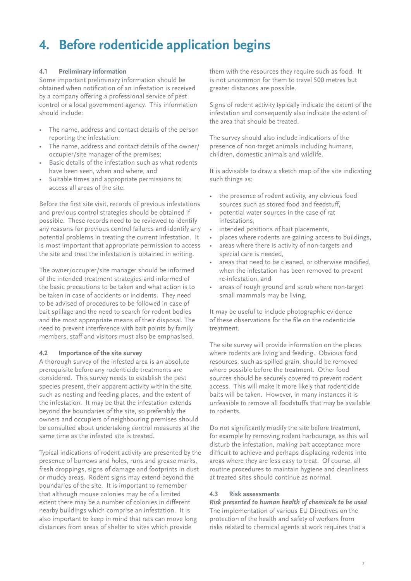## **4. Before rodenticide application begins**

## **4.1 Preliminary information**

Some important preliminary information should be obtained when notification of an infestation is received by a company offering a professional service of pest control or a local government agency. This information should include:

- The name, address and contact details of the person reporting the infestation;
- The name, address and contact details of the owner/ occupier/site manager of the premises;
- Basic details of the infestation such as what rodents have been seen, when and where, and
- Suitable times and appropriate permissions to access all areas of the site.

Before the first site visit, records of previous infestations and previous control strategies should be obtained if possible. These records need to be reviewed to identify any reasons for previous control failures and identify any potential problems in treating the current infestation. It is most important that appropriate permission to access the site and treat the infestation is obtained in writing.

The owner/occupier/site manager should be informed of the intended treatment strategies and informed of the basic precautions to be taken and what action is to be taken in case of accidents or incidents. They need to be advised of procedures to be followed in case of bait spillage and the need to search for rodent bodies and the most appropriate means of their disposal. The need to prevent interference with bait points by family members, staff and visitors must also be emphasised.

## **4.2 Importance of the site survey**

A thorough survey of the infested area is an absolute prerequisite before any rodenticide treatments are considered. This survey needs to establish the pest species present, their apparent activity within the site, such as nesting and feeding places, and the extent of the infestation. It may be that the infestation extends beyond the boundaries of the site, so preferably the owners and occupiers of neighbouring premises should be consulted about undertaking control measures at the same time as the infested site is treated.

Typical indications of rodent activity are presented by the presence of burrows and holes, runs and grease marks, fresh droppings, signs of damage and footprints in dust or muddy areas. Rodent signs may extend beyond the boundaries of the site. It is important to remember that although mouse colonies may be of a limited extent there may be a number of colonies in different nearby buildings which comprise an infestation. It is also important to keep in mind that rats can move long distances from areas of shelter to sites which provide

them with the resources they require such as food. It is not uncommon for them to travel 500 metres but greater distances are possible.

Signs of rodent activity typically indicate the extent of the infestation and consequently also indicate the extent of the area that should be treated.

The survey should also include indications of the presence of non-target animals including humans, children, domestic animals and wildlife.

It is advisable to draw a sketch map of the site indicating such things as:

- the presence of rodent activity, any obvious food sources such as stored food and feedstuff,
- potential water sources in the case of rat infestations,
- intended positions of bait placements,
- places where rodents are gaining access to buildings,
- areas where there is activity of non-targets and special care is needed,
- areas that need to be cleaned, or otherwise modified, when the infestation has been removed to prevent re-infestation, and
- areas of rough ground and scrub where non-target small mammals may be living.

It may be useful to include photographic evidence of these observations for the file on the rodenticide treatment.

The site survey will provide information on the places where rodents are living and feeding. Obvious food resources, such as spilled grain, should be removed where possible before the treatment. Other food sources should be securely covered to prevent rodent access. This will make it more likely that rodenticide baits will be taken. However, in many instances it is unfeasible to remove all foodstuffs that may be available to rodents.

Do not significantly modify the site before treatment, for example by removing rodent harbourage, as this will disturb the infestation, making bait acceptance more difficult to achieve and perhaps displacing rodents into areas where they are less easy to treat. Of course, all routine procedures to maintain hygiene and cleanliness at treated sites should continue as normal.

### **4.3 Risk assessments**

*Risk presented to human health of chemicals to be used* The implementation of various EU Directives on the protection of the health and safety of workers from risks related to chemical agents at work requires that a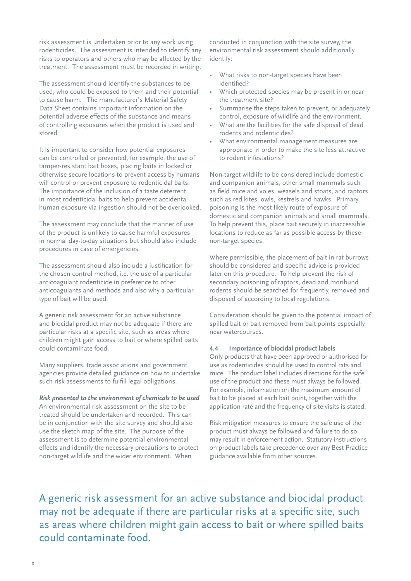risk assessment is undertaken prior to any work using rodenticides. The assessment is intended to identify any risks to operators and others who may be affected by the treatment. The assessment must be recorded in writing.

The assessment should identify the substances to be used, who could be exposed to them and their potential to cause harm. The manufacturer's Material Safety Data Sheet contains important information on the potential adverse effects of the substance and means of controlling exposures when the product is used and stored.

It is important to consider how potential exposures can be controlled or prevented, for example, the use of tamper-resistant bait boxes, placing baits in locked or otherwise secure locations to prevent access by humans will control or prevent exposure to rodenticidal baits. The importance of the inclusion of a taste deterrent in most rodenticidal baits to help prevent accidental human exposure via ingestion should not be overlooked.

The assessment may conclude that the manner of use of the product is unlikely to cause harmful exposures in normal day-to-day situations but should also include procedures in case of emergencies.

The assessment should also include a justification for the chosen control method, i.e. the use of a particular anticoagulant rodenticide in preference to other anticoagulants and methods and also why a particular type of bait will be used.

A generic risk assessment for an active substance and biocidal product may not be adequate if there are particular risks at a specific site, such as areas where children might gain access to bait or where spilled baits could contaminate food.

Many suppliers, trade associations and government agencies provide detailed guidance on how to undertake such risk assessments to fulfill legal obligations.

*Risk presented to the environment of chemicals to be used* An environmental risk assessment on the site to be treated should be undertaken and recorded. This can be in conjunction with the site survey and should also use the sketch map of the site. The purpose of the assessment is to determine potential environmental effects and identify the necessary precautions to protect non-target wildlife and the wider environment. When

conducted in conjunction with the site survey, the environmental risk assessment should additionally identify:

- What risks to non-target species have been identified?
- Which protected species may be present in or near the treatment site?
- Summarise the steps taken to prevent, or adequately control, exposure of wildlife and the environment.
- What are the facilities for the safe disposal of dead rodents and rodenticides?
- What environmental management measures are appropriate in order to make the site less attractive to rodent infestations?

Non-target wildlife to be considered include domestic and companion animals, other small mammals such as field mice and voles, weasels and stoats, and raptors such as red kites, owls, kestrels and hawks. Primary poisoning is the most likely route of exposure of domestic and companion animals and small mammals. To help prevent this, place bait securely in inaccessible locations to reduce as far as possible access by these non-target species.

Where permissible, the placement of bait in rat burrows should be considered and specific advice is provided later on this procedure. To help prevent the risk of secondary poisoning of raptors, dead and moribund rodents should be searched for frequently, removed and disposed of according to local regulations.

Consideration should be given to the potential impact of spilled bait or bait removed from bait points especially near watercourses.

#### **4.4 Importance of biocidal product labels**

Only products that have been approved or authorised for use as rodenticides should be used to control rats and mice. The product label includes directions for the safe use of the product and these must always be followed. For example, information on the maximum amount of bait to be placed at each bait point, together with the application rate and the frequency of site visits is stated.

Risk mitigation measures to ensure the safe use of the product must always be followed and failure to do so may result in enforcement action. Statutory instructions on product labels take precedence over any Best Practice guidance available from other sources.

A generic risk assessment for an active substance and biocidal product may not be adequate if there are particular risks at a specific site, such as areas where children might gain access to bait or where spilled baits could contaminate food.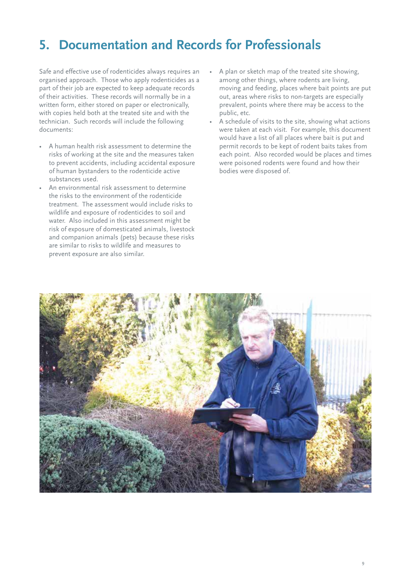# **5. Documentation and Records for Professionals**

Safe and effective use of rodenticides always requires an organised approach. Those who apply rodenticides as a part of their job are expected to keep adequate records of their activities. These records will normally be in a written form, either stored on paper or electronically, with copies held both at the treated site and with the technician. Such records will include the following documents:

- A human health risk assessment to determine the risks of working at the site and the measures taken to prevent accidents, including accidental exposure of human bystanders to the rodenticide active substances used.
- An environmental risk assessment to determine the risks to the environment of the rodenticide treatment. The assessment would include risks to wildlife and exposure of rodenticides to soil and water. Also included in this assessment might be risk of exposure of domesticated animals, livestock and companion animals (pets) because these risks are similar to risks to wildlife and measures to prevent exposure are also similar.
- A plan or sketch map of the treated site showing, among other things, where rodents are living, moving and feeding, places where bait points are put out, areas where risks to non-targets are especially prevalent, points where there may be access to the public, etc.
- A schedule of visits to the site, showing what actions were taken at each visit. For example, this document would have a list of all places where bait is put and permit records to be kept of rodent baits takes from each point. Also recorded would be places and times were poisoned rodents were found and how their bodies were disposed of.

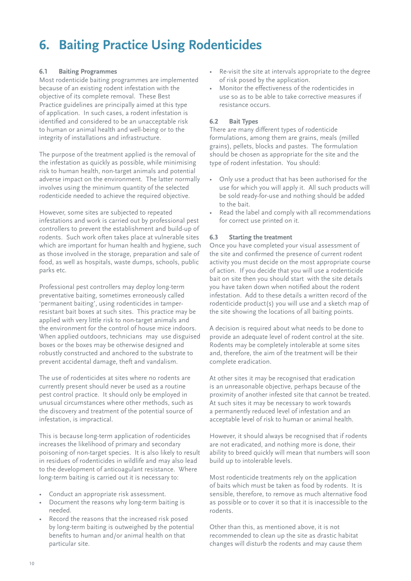# **6. Baiting Practice Using Rodenticides**

### **6.1 Baiting Programmes**

Most rodenticide baiting programmes are implemented because of an existing rodent infestation with the objective of its complete removal. These Best Practice guidelines are principally aimed at this type of application. In such cases, a rodent infestation is identified and considered to be an unacceptable risk to human or animal health and well-being or to the integrity of installations and infrastructure.

The purpose of the treatment applied is the removal of the infestation as quickly as possible, while minimising risk to human health, non-target animals and potential adverse impact on the environment. The latter normally involves using the minimum quantity of the selected rodenticide needed to achieve the required objective.

However, some sites are subjected to repeated infestations and work is carried out by professional pest controllers to prevent the establishment and build-up of rodents. Such work often takes place at vulnerable sites which are important for human health and hygiene, such as those involved in the storage, preparation and sale of food, as well as hospitals, waste dumps, schools, public parks etc.

Professional pest controllers may deploy long-term preventative baiting, sometimes erroneously called 'permanent baiting', using rodenticides in tamperresistant bait boxes at such sites. This practice may be applied with very little risk to non-target animals and the environment for the control of house mice indoors. When applied outdoors, technicians may use disguised boxes or the boxes may be otherwise designed and robustly constructed and anchored to the substrate to prevent accidental damage, theft and vandalism.

The use of rodenticides at sites where no rodents are currently present should never be used as a routine pest control practice. It should only be employed in unusual circumstances where other methods, such as the discovery and treatment of the potential source of infestation, is impractical.

This is because long-term application of rodenticides increases the likelihood of primary and secondary poisoning of non-target species. It is also likely to result in residues of rodenticides in wildlife and may also lead to the development of anticoagulant resistance. Where long-term baiting is carried out it is necessary to:

- Conduct an appropriate risk assessment.
- Document the reasons why long-term baiting is needed.
- Record the reasons that the increased risk posed by long-term baiting is outweighed by the potential benefits to human and/or animal health on that particular site.
- • Re-visit the site at intervals appropriate to the degree of risk posed by the application.
- Monitor the effectiveness of the rodenticides in use so as to be able to take corrective measures if resistance occurs.

#### **6.2 Bait Types**

There are many different types of rodenticide formulations, among them are grains, meals (milled grains), pellets, blocks and pastes. The formulation should be chosen as appropriate for the site and the type of rodent infestation. You should:

- Only use a product that has been authorised for the use for which you will apply it. All such products will be sold ready-for-use and nothing should be added to the bait.
- Read the label and comply with all recommendations for correct use printed on it.

#### **6.3 Starting the treatment**

Once you have completed your visual assessment of the site and confirmed the presence of current rodent activity you must decide on the most appropriate course of action. If you decide that you will use a rodenticide bait on site then you should start with the site details you have taken down when notified about the rodent infestation. Add to these details a written record of the rodenticide product(s) you will use and a sketch map of the site showing the locations of all baiting points.

A decision is required about what needs to be done to provide an adequate level of rodent control at the site. Rodents may be completely intolerable at some sites and, therefore, the aim of the treatment will be their complete eradication.

At other sites it may be recognised that eradication is an unreasonable objective, perhaps because of the proximity of another infested site that cannot be treated. At such sites it may be necessary to work towards a permanently reduced level of infestation and an acceptable level of risk to human or animal health.

However, it should always be recognised that if rodents are not eradicated, and nothing more is done, their ability to breed quickly will mean that numbers will soon build up to intolerable levels.

Most rodenticide treatments rely on the application of baits which must be taken as food by rodents. It is sensible, therefore, to remove as much alternative food as possible or to cover it so that it is inaccessible to the rodents.

Other than this, as mentioned above, it is not recommended to clean up the site as drastic habitat changes will disturb the rodents and may cause them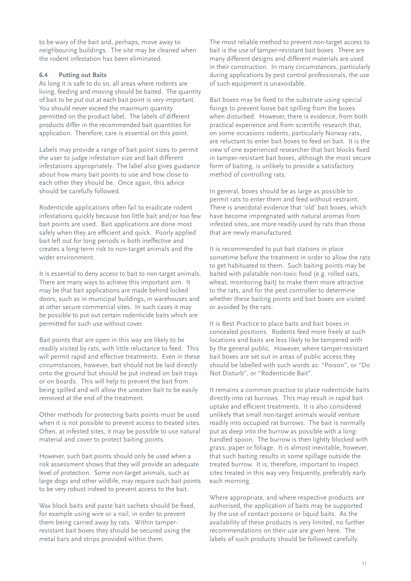to be wary of the bait and, perhaps, move away to neighbouring buildings. The site may be cleaned when the rodent infestation has been eliminated.

### **6.4 Putting out Baits**

As long it is safe to do so, all areas where rodents are living, feeding and moving should be baited. The quantity of bait to be put out at each bait point is very important. You should never exceed the maximum quantity permitted on the product label. The labels of different products differ in the recommended bait quantities for application. Therefore, care is essential on this point.

Labels may provide a range of bait point sizes to permit the user to judge infestation size and bait different infestations appropriately. The label also gives guidance about how many bait points to use and how close to each other they should be. Once again, this advice should be carefully followed.

Rodenticide applications often fail to eradicate rodent infestations quickly because too little bait and/or too few bait points are used. Bait applications are done most safely when they are efficient and quick. Poorly applied bait left out for long periods is both ineffective and creates a long-term risk to non-target animals and the wider environment.

It is essential to deny access to bait to non-target animals. There are many ways to achieve this important aim. It may be that bait applications are made behind locked doors, such as in municipal buildings, in warehouses and at other secure commercial sites. In such cases it may be possible to put out certain rodenticide baits which are permitted for such use without cover.

Bait points that are open in this way are likely to be readily visited by rats, with little reluctance to feed. This will permit rapid and effective treatments. Even in these circumstances, however, bait should not be laid directly onto the ground but should be put instead on bait trays or on boards. This will help to prevent the bait from being spilled and will allow the uneaten bait to be easily removed at the end of the treatment.

Other methods for protecting baits points must be used when it is not possible to prevent access to treated sites. Often, at infested sites, it may be possible to use natural material and cover to protect baiting points.

However, such bait points should only be used when a risk assessment shows that they will provide an adequate level of protection. Some non-target animals, such as large dogs and other wildlife, may require such bait points to be very robust indeed to prevent access to the bait.

Wax block baits and paste bait sachets should be fixed, for example using wire or a nail, in order to prevent them being carried away by rats. Within tamperresistant bait boxes they should be secured using the metal bars and strips provided within them.

The most reliable method to prevent non-target access to bait is the use of tamper-resistant bait boxes. There are many different designs and different materials are used in their construction. In many circumstances, particularly during applications by pest control professionals, the use of such equipment is unavoidable.

Bait boxes may be fixed to the substrate using special fixings to prevent loose bait spilling from the boxes when disturbed. However, there is evidence, from both practical experience and from scientific research that, on some occasions rodents, particularly Norway rats, are reluctant to enter bait boxes to feed on bait. It is the view of one experienced researcher that bait blocks fixed in tamper-resistant bait boxes, although the most secure form of baiting, is unlikely to provide a satisfactory method of controlling rats.

In general, boxes should be as large as possible to permit rats to enter them and feed without restraint. There is anecdotal evidence that 'old' bait boxes, which have become impregnated with natural aromas from infested sites, are more readily used by rats than those that are newly manufactured.

It is recommended to put bait stations in place sometime before the treatment in order to allow the rats to get habituated to them. Such baiting points may be baited with palatable non-toxic food (e.g. rolled oats, wheat, monitoring bait) to make them more attractive to the rats, and for the pest controller to determine whether these baiting points and bait boxes are visited or avoided by the rats.

It is Best Practice to place baits and bait boxes in concealed positions. Rodents feed more freely at such locations and baits are less likely to be tampered with by the general public. However, where tamper-resistant bait boxes are set out in areas of public access they should be labelled with such words as: "Poison", or "Do Not Disturb", or "Rodenticide Bait".

It remains a common practice to place rodenticide baits directly into rat burrows. This may result in rapid bait uptake and efficient treatments. It is also considered unlikely that small non-target animals would venture readily into occupied rat burrows. The bait is normally put as deep into the burrow as possible with a longhandled spoon. The burrow is then lightly blocked with grass, paper or foliage. It is almost inevitable, however, that such baiting results in some spillage outside the treated burrow. It is, therefore, important to inspect sites treated in this way very frequently, preferably early each morning.

Where appropriate, and where respective products are authorised, the application of baits may be supported by the use of contact poisons or liquid baits. As the availability of these products is very limited, no further recommendations on their use are given here. The labels of such products should be followed carefully.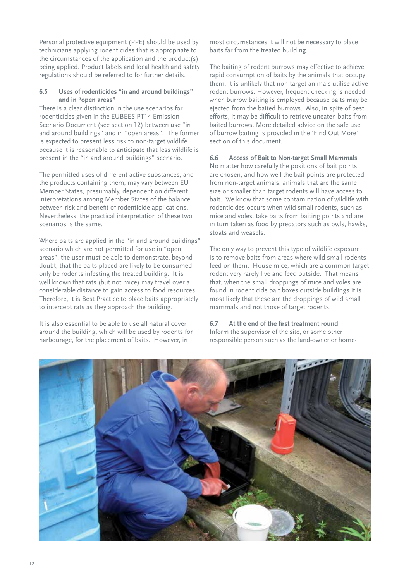Personal protective equipment (PPE) should be used by technicians applying rodenticides that is appropriate to the circumstances of the application and the product(s) being applied. Product labels and local health and safety regulations should be referred to for further details.

#### **6.5 Uses of rodenticides "in and around buildings" and in "open areas"**

There is a clear distinction in the use scenarios for rodenticides given in the EUBEES PT14 Emission Scenario Document (see section 12) between use "in and around buildings" and in "open areas". The former is expected to present less risk to non-target wildlife because it is reasonable to anticipate that less wildlife is present in the "in and around buildings" scenario.

The permitted uses of different active substances, and the products containing them, may vary between EU Member States, presumably, dependent on different interpretations among Member States of the balance between risk and benefit of rodenticide applications. Nevertheless, the practical interpretation of these two scenarios is the same.

Where baits are applied in the "in and around buildings" scenario which are not permitted for use in "open areas", the user must be able to demonstrate, beyond doubt, that the baits placed are likely to be consumed only be rodents infesting the treated building. It is well known that rats (but not mice) may travel over a considerable distance to gain access to food resources. Therefore, it is Best Practice to place baits appropriately to intercept rats as they approach the building.

It is also essential to be able to use all natural cover around the building, which will be used by rodents for harbourage, for the placement of baits. However, in

most circumstances it will not be necessary to place baits far from the treated building.

The baiting of rodent burrows may effective to achieve rapid consumption of baits by the animals that occupy them. It is unlikely that non-target animals utilise active rodent burrows. However, frequent checking is needed when burrow baiting is employed because baits may be ejected from the baited burrows. Also, in spite of best efforts, it may be difficult to retrieve uneaten baits from baited burrows. More detailed advice on the safe use of burrow baiting is provided in the 'Find Out More' section of this document.

## **6.6 Access of Bait to Non-target Small Mammals**

No matter how carefully the positions of bait points are chosen, and how well the bait points are protected from non-target animals, animals that are the same size or smaller than target rodents will have access to bait. We know that some contamination of wildlife with rodenticides occurs when wild small rodents, such as mice and voles, take baits from baiting points and are in turn taken as food by predators such as owls, hawks, stoats and weasels.

The only way to prevent this type of wildlife exposure is to remove baits from areas where wild small rodents feed on them. House mice, which are a common target rodent very rarely live and feed outside. That means that, when the small droppings of mice and voles are found in rodenticide bait boxes outside buildings it is most likely that these are the droppings of wild small mammals and not those of target rodents.

## **6.7 At the end of the first treatment round**

Inform the supervisor of the site, or some other responsible person such as the land-owner or home-

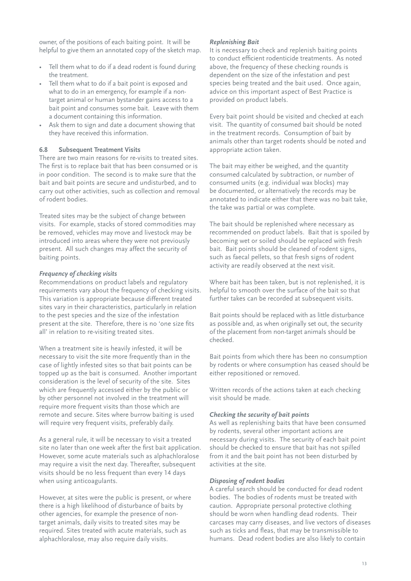owner, of the positions of each baiting point. It will be helpful to give them an annotated copy of the sketch map.

- • Tell them what to do if a dead rodent is found during the treatment.
- Tell them what to do if a bait point is exposed and what to do in an emergency, for example if a nontarget animal or human bystander gains access to a bait point and consumes some bait. Leave with them a document containing this information.
- Ask them to sign and date a document showing that they have received this information.

### **6.8 Subsequent Treatment Visits**

There are two main reasons for re-visits to treated sites. The first is to replace bait that has been consumed or is in poor condition. The second is to make sure that the bait and bait points are secure and undisturbed, and to carry out other activities, such as collection and removal of rodent bodies.

Treated sites may be the subject of change between visits. For example, stacks of stored commodities may be removed, vehicles may move and livestock may be introduced into areas where they were not previously present. All such changes may affect the security of baiting points.

#### *Frequency of checking visits*

Recommendations on product labels and regulatory requirements vary about the frequency of checking visits. This variation is appropriate because different treated sites vary in their characteristics, particularly in relation to the pest species and the size of the infestation present at the site. Therefore, there is no 'one size fits all' in relation to re-visiting treated sites.

When a treatment site is heavily infested, it will be necessary to visit the site more frequently than in the case of lightly infested sites so that bait points can be topped up as the bait is consumed. Another important consideration is the level of security of the site. Sites which are frequently accessed either by the public or by other personnel not involved in the treatment will require more frequent visits than those which are remote and secure. Sites where burrow baiting is used will require very frequent visits, preferably daily.

As a general rule, it will be necessary to visit a treated site no later than one week after the first bait application. However, some acute materials such as alphachloralose may require a visit the next day. Thereafter, subsequent visits should be no less frequent than every 14 days when using anticoagulants.

However, at sites were the public is present, or where there is a high likelihood of disturbance of baits by other agencies, for example the presence of nontarget animals, daily visits to treated sites may be required. Sites treated with acute materials, such as alphachloralose, may also require daily visits.

#### *Replenishing Bait*

It is necessary to check and replenish baiting points to conduct efficient rodenticide treatments. As noted above, the frequency of these checking rounds is dependent on the size of the infestation and pest species being treated and the bait used. Once again, advice on this important aspect of Best Practice is provided on product labels.

Every bait point should be visited and checked at each visit. The quantity of consumed bait should be noted in the treatment records. Consumption of bait by animals other than target rodents should be noted and appropriate action taken.

The bait may either be weighed, and the quantity consumed calculated by subtraction, or number of consumed units (e.g. individual wax blocks) may be documented, or alternatively the records may be annotated to indicate either that there was no bait take, the take was partial or was complete.

The bait should be replenished where necessary as recommended on product labels. Bait that is spoiled by becoming wet or soiled should be replaced with fresh bait. Bait points should be cleaned of rodent signs, such as faecal pellets, so that fresh signs of rodent activity are readily observed at the next visit.

Where bait has been taken, but is not replenished, it is helpful to smooth over the surface of the bait so that further takes can be recorded at subsequent visits.

Bait points should be replaced with as little disturbance as possible and, as when originally set out, the security of the placement from non-target animals should be checked.

Bait points from which there has been no consumption by rodents or where consumption has ceased should be either repositioned or removed.

Written records of the actions taken at each checking visit should be made.

#### *Checking the security of bait points*

As well as replenishing baits that have been consumed by rodents, several other important actions are necessary during visits. The security of each bait point should be checked to ensure that bait has not spilled from it and the bait point has not been disturbed by activities at the site.

### *Disposing of rodent bodies*

A careful search should be conducted for dead rodent bodies. The bodies of rodents must be treated with caution. Appropriate personal protective clothing should be worn when handling dead rodents. Their carcases may carry diseases, and live vectors of diseases such as ticks and fleas, that may be transmissible to humans. Dead rodent bodies are also likely to contain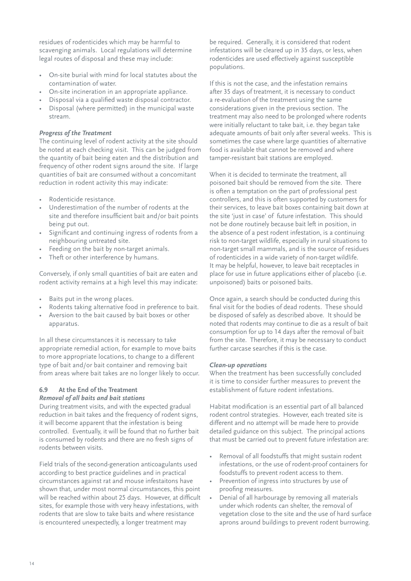residues of rodenticides which may be harmful to scavenging animals. Local regulations will determine legal routes of disposal and these may include:

- On-site burial with mind for local statutes about the contamination of water.
- On-site incineration in an appropriate appliance.
- Disposal via a qualified waste disposal contractor.
- Disposal (where permitted) in the municipal waste stream.

## *Progress of the Treatment*

The continuing level of rodent activity at the site should be noted at each checking visit. This can be judged from the quantity of bait being eaten and the distribution and frequency of other rodent signs around the site. If large quantities of bait are consumed without a concomitant reduction in rodent activity this may indicate:

- Rodenticide resistance.
- Underestimation of the number of rodents at the site and therefore insufficient bait and/or bait points being put out.
- Significant and continuing ingress of rodents from a neighbouring untreated site.
- Feeding on the bait by non-target animals.
- Theft or other interference by humans.

Conversely, if only small quantities of bait are eaten and rodent activity remains at a high level this may indicate:

- • Baits put in the wrong places.
- Rodents taking alternative food in preference to bait.
- Aversion to the bait caused by bait boxes or other apparatus.

In all these circumstances it is necessary to take appropriate remedial action, for example to move baits to more appropriate locations, to change to a different type of bait and/or bait container and removing bait from areas where bait takes are no longer likely to occur.

#### **6.9 At the End of the Treatment** *Removal of all baits and bait stations*

During treatment visits, and with the expected gradual reduction in bait takes and the frequency of rodent signs, it will become apparent that the infestation is being controlled. Eventually, it will be found that no further bait is consumed by rodents and there are no fresh signs of rodents between visits.

Field trials of the second-generation anticoagulants used according to best practice guidelines and in practical circumstances against rat and mouse infestaitons have shown that, under most normal circumstances, this point will be reached within about 25 days. However, at difficult sites, for example those with very heavy infestations, with rodents that are slow to take baits and where resistance is encountered unexpectedly, a longer treatment may

be required. Generally, it is considered that rodent infestations will be cleared up in 35 days, or less, when rodenticides are used effectively against susceptible populations.

If this is not the case, and the infestation remains after 35 days of treatment, it is necessary to conduct a re-evaluation of the treatment using the same considerations given in the previous section. The treatment may also need to be prolonged where rodents were initially reluctant to take bait, i.e. they began take adequate amounts of bait only after several weeks. This is sometimes the case where large quantities of alternative food is available that cannot be removed and where tamper-resistant bait stations are employed.

When it is decided to terminate the treatment, all poisoned bait should be removed from the site. There is often a temptation on the part of professional pest controllers, and this is often supported by customers for their services, to leave bait boxes containing bait down at the site 'just in case' of future infestation. This should not be done routinely because bait left in position, in the absence of a pest rodent infestation, is a continuing risk to non-target wildlife, especially in rural situations to non-target small mammals, and is the source of residues of rodenticides in a wide variety of non-target wildlife. It may be helpful, however, to leave bait receptacles in place for use in future applications either of placebo (i.e. unpoisoned) baits or poisoned baits.

Once again, a search should be conducted during this final visit for the bodies of dead rodents. These should be disposed of safely as described above. It should be noted that rodents may continue to die as a result of bait consumption for up to 14 days after the removal of bait from the site. Therefore, it may be necessary to conduct further carcase searches if this is the case.

#### *Clean-up operations*

When the treatment has been successfully concluded it is time to consider further measures to prevent the establishment of future rodent infestations.

Habitat modification is an essential part of all balanced rodent control strategies. However, each treated site is different and no attempt will be made here to provide detailed guidance on this subject. The principal actions that must be carried out to prevent future infestation are:

- Removal of all foodstuffs that might sustain rodent infestations, or the use of rodent-proof containers for foodstuffs to prevent rodent access to them.
- Prevention of ingress into structures by use of proofing measures.
- • Denial of all harbourage by removing all materials under which rodents can shelter, the removal of vegetation close to the site and the use of hard surface aprons around buildings to prevent rodent burrowing.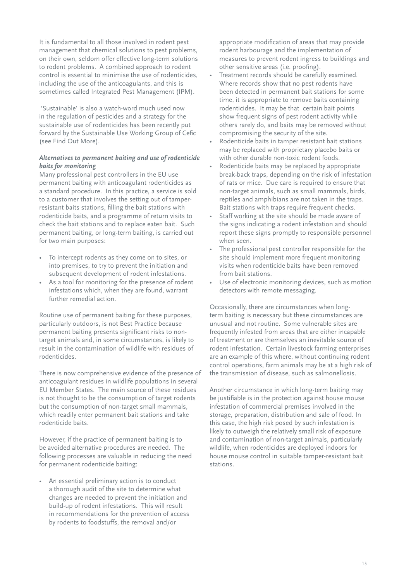It is fundamental to all those involved in rodent pest management that chemical solutions to pest problems, on their own, seldom offer effective long-term solutions to rodent problems. A combined approach to rodent control is essential to minimise the use of rodenticides, including the use of the anticoagulants, and this is sometimes called Integrated Pest Management (IPM).

 'Sustainable' is also a watch-word much used now in the regulation of pesticides and a strategy for the sustainable use of rodenticides has been recently put forward by the Sustainable Use Working Group of Cefic (see Find Out More).

### *Alternatives to permanent baiting and use of rodenticide baits for monitoring*

Many professional pest controllers in the EU use permanent baiting with anticoagulant rodenticides as a standard procedure. In this practice, a service is sold to a customer that involves the setting out of tamperresistant baits stations, filling the bait stations with rodenticide baits, and a programme of return visits to check the bait stations and to replace eaten bait. Such permanent baiting, or long-term baiting, is carried out for two main purposes:

- • To intercept rodents as they come on to sites, or into premises, to try to prevent the initiation and subsequent development of rodent infestations.
- • As a tool for monitoring for the presence of rodent infestations which, when they are found, warrant further remedial action.

Routine use of permanent baiting for these purposes, particularly outdoors, is not Best Practice because permanent baiting presents significant risks to nontarget animals and, in some circumstances, is likely to result in the contamination of wildlife with residues of rodenticides.

There is now comprehensive evidence of the presence of anticoagulant residues in wildlife populations in several EU Member States. The main source of these residues is not thought to be the consumption of target rodents but the consumption of non-target small mammals, which readily enter permanent bait stations and take rodenticide baits.

However, if the practice of permanent baiting is to be avoided alternative procedures are needed. The following processes are valuable in reducing the need for permanent rodenticide baiting:

An essential preliminary action is to conduct a thorough audit of the site to determine what changes are needed to prevent the initiation and build-up of rodent infestations. This will result in recommendations for the prevention of access by rodents to foodstuffs, the removal and/or

appropriate modification of areas that may provide rodent harbourage and the implementation of measures to prevent rodent ingress to buildings and other sensitive areas (i.e. proofing).

- Treatment records should be carefully examined. Where records show that no pest rodents have been detected in permanent bait stations for some time, it is appropriate to remove baits containing rodenticides. It may be that certain bait points show frequent signs of pest rodent activity while others rarely do, and baits may be removed without compromising the security of the site.
- Rodenticide baits in tamper resistant bait stations may be replaced with proprietary placebo baits or with other durable non-toxic rodent foods.
- Rodenticide baits may be replaced by appropriate break-back traps, depending on the risk of infestation of rats or mice. Due care is required to ensure that non-target animals, such as small mammals, birds, reptiles and amphibians are not taken in the traps. Bait stations with traps require frequent checks.
- Staff working at the site should be made aware of the signs indicating a rodent infestation and should report these signs promptly to responsible personnel when seen.
- The professional pest controller responsible for the site should implement more frequent monitoring visits when rodenticide baits have been removed from bait stations.
- • Use of electronic monitoring devices, such as motion detectors with remote messaging.

Occasionally, there are circumstances when longterm baiting is necessary but these circumstances are unusual and not routine. Some vulnerable sites are frequently infested from areas that are either incapable of treatment or are themselves an inevitable source of rodent infestation. Certain livestock farming enterprises are an example of this where, without continuing rodent control operations, farm animals may be at a high risk of the transmission of disease, such as salmonellosis.

Another circumstance in which long-term baiting may be justifiable is in the protection against house mouse infestation of commercial premises involved in the storage, preparation, distribution and sale of food. In this case, the high risk posed by such infestation is likely to outweigh the relatively small risk of exposure and contamination of non-target animals, particularly wildlife, when rodenticides are deployed indoors for house mouse control in suitable tamper-resistant bait stations.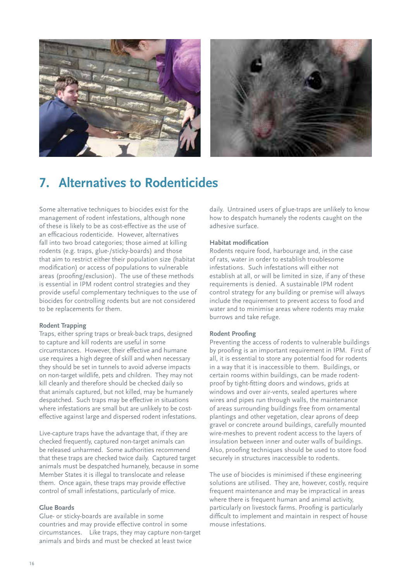



## **7. Alternatives to Rodenticides**

Some alternative techniques to biocides exist for the management of rodent infestations, although none of these is likely to be as cost-effective as the use of an efficacious rodenticide. However, alternatives fall into two broad categories; those aimed at killing rodents (e.g. traps, glue-/sticky-boards) and those that aim to restrict either their population size (habitat modification) or access of populations to vulnerable areas (proofing/exclusion). The use of these methods is essential in IPM rodent control strategies and they provide useful complementary techniques to the use of biocides for controlling rodents but are not considered to be replacements for them.

#### **Rodent Trapping**

Traps, either spring traps or break-back traps, designed to capture and kill rodents are useful in some circumstances. However, their effective and humane use requires a high degree of skill and when necessary they should be set in tunnels to avoid adverse impacts on non-target wildlife, pets and children. They may not kill cleanly and therefore should be checked daily so that animals captured, but not killed, may be humanely despatched. Such traps may be effective in situations where infestations are small but are unlikely to be costeffective against large and dispersed rodent infestations.

Live-capture traps have the advantage that, if they are checked frequently, captured non-target animals can be released unharmed. Some authorities recommend that these traps are checked twice daily. Captured target animals must be despatched humanely, because in some Member States it is illegal to translocate and release them. Once again, these traps may provide effective control of small infestations, particularly of mice.

#### **Glue Boards**

Glue- or sticky-boards are available in some countries and may provide effective control in some circumstances. Like traps, they may capture non-target animals and birds and must be checked at least twice

daily. Untrained users of glue-traps are unlikely to know how to despatch humanely the rodents caught on the adhesive surface.

#### **Habitat modification**

Rodents require food, harbourage and, in the case of rats, water in order to establish troublesome infestations. Such infestations will either not establish at all, or will be limited in size, if any of these requirements is denied. A sustainable IPM rodent control strategy for any building or premise will always include the requirement to prevent access to food and water and to minimise areas where rodents may make burrows and take refuge.

#### **Rodent Proofing**

Preventing the access of rodents to vulnerable buildings by proofing is an important requirement in IPM. First of all, it is essential to store any potential food for rodents in a way that it is inaccessible to them. Buildings, or certain rooms within buildings, can be made rodentproof by tight-fitting doors and windows, grids at windows and over air-vents, sealed apertures where wires and pipes run through walls, the maintenance of areas surrounding buildings free from ornamental plantings and other vegetation, clear aprons of deep gravel or concrete around buildings, carefully mounted wire-meshes to prevent rodent access to the layers of insulation between inner and outer walls of buildings. Also, proofing techniques should be used to store food securely in structures inaccessible to rodents.

The use of biocides is minimised if these engineering solutions are utilised. They are, however, costly, require frequent maintenance and may be impractical in areas where there is frequent human and animal activity, particularly on livestock farms. Proofing is particularly difficult to implement and maintain in respect of house mouse infestations.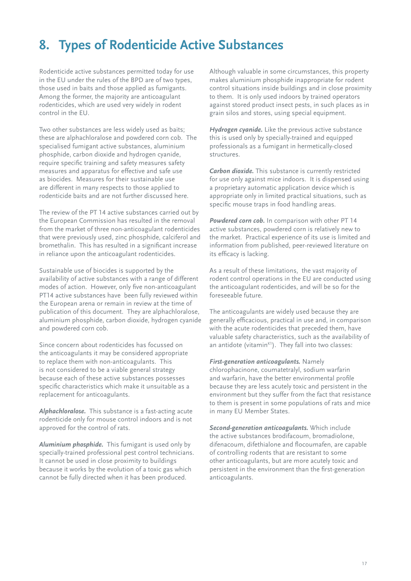# **8. Types of Rodenticide Active Substances**

Rodenticide active substances permitted today for use in the EU under the rules of the BPD are of two types, those used in baits and those applied as fumigants. Among the former, the majority are anticoagulant rodenticides, which are used very widely in rodent control in the EU.

Two other substances are less widely used as baits; these are alphachloralose and powdered corn cob. The specialised fumigant active substances, aluminium phosphide, carbon dioxide and hydrogen cyanide, require specific training and safety measures safety measures and apparatus for effective and safe use as biocides. Measures for their sustainable use are different in many respects to those applied to rodenticide baits and are not further discussed here.

The review of the PT 14 active substances carried out by the European Commission has resulted in the removal from the market of three non-anticoagulant rodenticides that were previously used, zinc phosphide, calciferol and bromethalin. This has resulted in a significant increase in reliance upon the anticoagulant rodenticides.

Sustainable use of biocides is supported by the availability of active substances with a range of different modes of action. However, only five non-anticoagulant PT14 active substances have been fully reviewed within the European arena or remain in review at the time of publication of this document. They are alphachloralose, aluminium phosphide, carbon dioxide, hydrogen cyanide and powdered corn cob.

Since concern about rodenticides has focussed on the anticoagulants it may be considered appropriate to replace them with non-anticoagulants. This is not considered to be a viable general strategy because each of these active substances possesses specific characteristics which make it unsuitable as a replacement for anticoagulants.

*Alphachloralose.* This substance is a fast-acting acute rodenticide only for mouse control indoors and is not approved for the control of rats.

*Aluminium phosphide.* This fumigant is used only by specially-trained professional pest control technicians. It cannot be used in close proximity to buildings because it works by the evolution of a toxic gas which cannot be fully directed when it has been produced.

Although valuable in some circumstances, this property makes aluminium phosphide inappropriate for rodent control situations inside buildings and in close proximity to them. It is only used indoors by trained operators against stored product insect pests, in such places as in grain silos and stores, using special equipment.

*Hydrogen cyanide.* Like the previous active substance this is used only by specially-trained and equipped professionals as a fumigant in hermetically-closed structures.

*Carbon dioxide.* This substance is currently restricted for use only against mice indoors. It is dispensed using a proprietary automatic application device which is appropriate only in limited practical situations, such as specific mouse traps in food handling areas.

*Powdered corn cob.* In comparison with other PT 14 active substances, powdered corn is relatively new to the market. Practical experience of its use is limited and information from published, peer-reviewed literature on its efficacy is lacking.

As a result of these limitations, the vast majority of rodent control operations in the EU are conducted using the anticoagulant rodenticides, and will be so for the foreseeable future.

The anticoagulants are widely used because they are generally efficacious, practical in use and, in comparison with the acute rodenticides that preceded them, have valuable safety characteristics, such as the availability of an antidote (vitamin $K<sup>1</sup>$ ). They fall into two classes:

*First-generation anticoagulants.* Namely chlorophacinone, coumatetralyl, sodium warfarin and warfarin, have the better environmental profile because they are less acutely toxic and persistent in the environment but they suffer from the fact that resistance to them is present in some populations of rats and mice in many EU Member States.

*Second-generation anticoagulants.* Which include the active substances brodifacoum, bromadiolone, difenacoum, difethialone and flocoumafen, are capable of controlling rodents that are resistant to some other anticoagulants, but are more acutely toxic and persistent in the environment than the first-generation anticoagulants.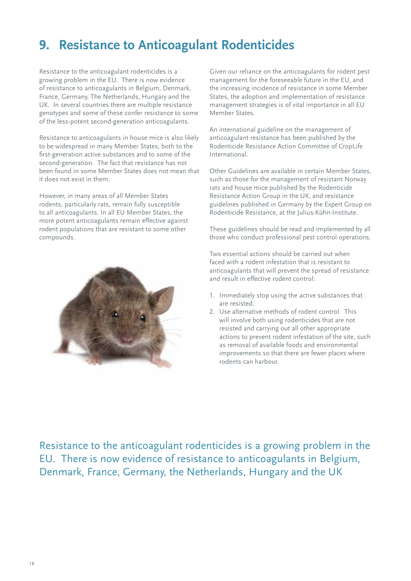# **9. Resistance to Anticoagulant Rodenticides**

Resistance to the anticoagulant rodenticides is a growing problem in the EU. There is now evidence of resistance to anticoagulants in Belgium, Denmark, France, Germany, The Netherlands, Hungary and the UK. In several countries there are multiple resistance genotypes and some of these confer resistance to some of the less-potent second-generation anticoagulants.

Resistance to anticoagulants in house mice is also likely to be widespread in many Member States, both to the first-generation active substances and to some of the second-generation. The fact that resistance has not been found in some Member States does not mean that it does not exist in them.

However, in many areas of all Member States rodents, particularly rats, remain fully susceptible to all anticoagulants. In all EU Member States, the more potent anticoagulants remain effective against rodent populations that are resistant to some other compounds.



Given our reliance on the anticoagulants for rodent pest management for the foreseeable future in the EU, and the increasing incidence of resistance in some Member States, the adoption and implementation of resistance management strategies is of vital importance in all EU Member States.

An international guideline on the management of anticoagulant resistance has been published by the Rodenticide Resistance Action Committee of CropLife International.

Other Guidelines are available in certain Member States, such as those for the management of resistant Norway rats and house mice published by the Rodenticide Resistance Action Group in the UK, and resistance guidelines published in Germany by the Expert Group on Rodenticide Resistance, at the Julius-Kühn-Institute.

These guidelines should be read and implemented by all those who conduct professional pest control operations.

Two essential actions should be carried out when faced with a rodent infestation that is resistant to anticoagulants that will prevent the spread of resistance and result in effective rodent control:

- 1. Immediately stop using the active substances that are resisted.
- 2. Use alternative methods of rodent control. This will involve both using rodenticides that are not resisted and carrying out all other appropriate actions to prevent rodent infestation of the site, such as removal of available foods and environmental improvements so that there are fewer places where rodents can harbour.

Resistance to the anticoagulant rodenticides is a growing problem in the EU. There is now evidence of resistance to anticoagulants in Belgium, Denmark, France, Germany, the Netherlands, Hungary and the UK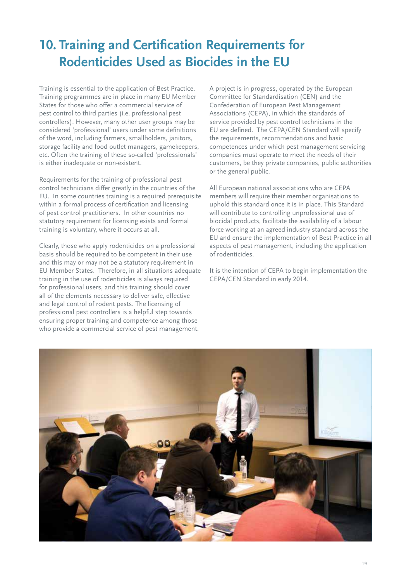# **10. Training and Certification Requirements for Rodenticides Used as Biocides in the EU**

Training is essential to the application of Best Practice. Training programmes are in place in many EU Member States for those who offer a commercial service of pest control to third parties (i.e. professional pest controllers). However, many other user groups may be considered 'professional' users under some definitions of the word, including farmers, smallholders, janitors, storage facility and food outlet managers, gamekeepers, etc. Often the training of these so-called 'professionals' is either inadequate or non-existent.

Requirements for the training of professional pest control technicians differ greatly in the countries of the EU. In some countries training is a required prerequisite within a formal process of certification and licensing of pest control practitioners. In other countries no statutory requirement for licensing exists and formal training is voluntary, where it occurs at all.

Clearly, those who apply rodenticides on a professional basis should be required to be competent in their use and this may or may not be a statutory requirement in EU Member States. Therefore, in all situations adequate training in the use of rodenticides is always required for professional users, and this training should cover all of the elements necessary to deliver safe, effective and legal control of rodent pests. The licensing of professional pest controllers is a helpful step towards ensuring proper training and competence among those who provide a commercial service of pest management.

A project is in progress, operated by the European Committee for Standardisation (CEN) and the Confederation of European Pest Management Associations (CEPA), in which the standards of service provided by pest control technicians in the EU are defined. The CEPA/CEN Standard will specify the requirements, recommendations and basic competences under which pest management servicing companies must operate to meet the needs of their customers, be they private companies, public authorities or the general public.

All European national associations who are CEPA members will require their member organisations to uphold this standard once it is in place. This Standard will contribute to controlling unprofessional use of biocidal products, facilitate the availability of a labour force working at an agreed industry standard across the EU and ensure the implementation of Best Practice in all aspects of pest management, including the application of rodenticides.

It is the intention of CEPA to begin implementation the CEPA/CEN Standard in early 2014.

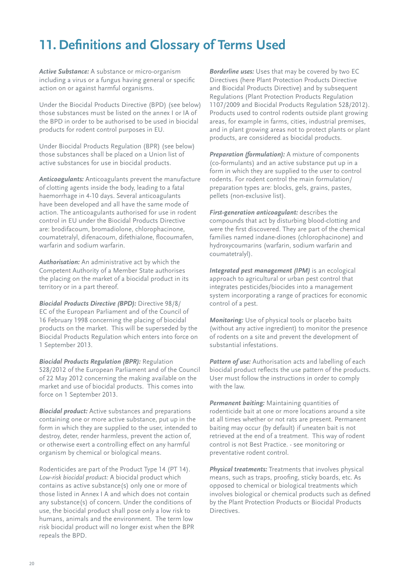# **11. Definitions and Glossary of Terms Used**

*Active Substance:* A substance or micro-organism including a virus or a fungus having general or specific action on or against harmful organisms.

Under the Biocidal Products Directive (BPD) (see below) those substances must be listed on the annex I or IA of the BPD in order to be authorised to be used in biocidal products for rodent control purposes in EU.

Under Biocidal Products Regulation (BPR) (see below) those substances shall be placed on a Union list of active substances for use in biocidal products.

*Anticoagulants:* Anticoagulants prevent the manufacture of clotting agents inside the body, leading to a fatal haemorrhage in 4-10 days. Several anticoagulants have been developed and all have the same mode of action. The anticoagulants authorised for use in rodent control in EU under the Biocidal Products Directive are: brodifacoum, bromadiolone, chlorophacinone, coumatetralyl, difenacoum, difethialone, flocoumafen, warfarin and sodium warfarin.

*Authorisation:* An administrative act by which the Competent Authority of a Member State authorises the placing on the market of a biocidal product in its territory or in a part thereof.

*Biocidal Products Directive (BPD):* Directive 98/8/ EC of the European Parliament and of the Council of 16 February 1998 concerning the placing of biocidal products on the market. This will be superseded by the Biocidal Products Regulation which enters into force on 1 September 2013.

*Biocidal Products Regulation (BPR):* Regulation 528/2012 of the European Parliament and of the Council of 22 May 2012 concerning the making available on the market and use of biocidal products. This comes into force on 1 September 2013.

*Biocidal product:* Active substances and preparations containing one or more active substance, put up in the form in which they are supplied to the user, intended to destroy, deter, render harmless, prevent the action of, or otherwise exert a controlling effect on any harmful organism by chemical or biological means.

Rodenticides are part of the Product Type 14 (PT 14). *Low-risk biocidal product:* A biocidal product which contains as active substance(s) only one or more of those listed in Annex I A and which does not contain any substance(s) of concern. Under the conditions of use, the biocidal product shall pose only a low risk to humans, animals and the environment. The term low risk biocidal product will no longer exist when the BPR repeals the BPD.

*Borderline uses:* Uses that may be covered by two EC Directives (here Plant Protection Products Directive and Biocidal Products Directive) and by subsequent Regulations (Plant Protection Products Regulation 1107/2009 and Biocidal Products Regulation 528/2012). Products used to control rodents outside plant growing areas, for example in farms, cities, industrial premises, and in plant growing areas not to protect plants or plant products, are considered as biocidal products.

*Preparation (formulation):* A mixture of components (co-formulants) and an active substance put up in a form in which they are supplied to the user to control rodents. For rodent control the main formulation/ preparation types are: blocks, gels, grains, pastes, pellets (non-exclusive list).

*First-generation anticoagulant:* describes the compounds that act by disturbing blood-clotting and were the first discovered. They are part of the chemical families named indane-diones (chlorophacinone) and hydroxycoumarins (warfarin, sodium warfarin and coumatetralyl).

*Integrated pest management (IPM)* is an ecological approach to agricultural or urban pest control that integrates pesticides/biocides into a management system incorporating a range of practices for economic control of a pest.

*Monitoring:* Use of physical tools or placebo baits (without any active ingredient) to monitor the presence of rodents on a site and prevent the development of substantial infestations.

Pattern of use: Authorisation acts and labelling of each biocidal product reflects the use pattern of the products. User must follow the instructions in order to comply with the law.

*Permanent baiting:* Maintaining quantities of rodenticide bait at one or more locations around a site at all times whether or not rats are present. Permanent baiting may occur (by default) if uneaten bait is not retrieved at the end of a treatment. This way of rodent control is not Best Practice. - see monitoring or preventative rodent control.

*Physical treatments:* Treatments that involves physical means, such as traps, proofing, sticky boards, etc. As opposed to chemical or biological treatments which involves biological or chemical products such as defined by the Plant Protection Products or Biocidal Products Directives.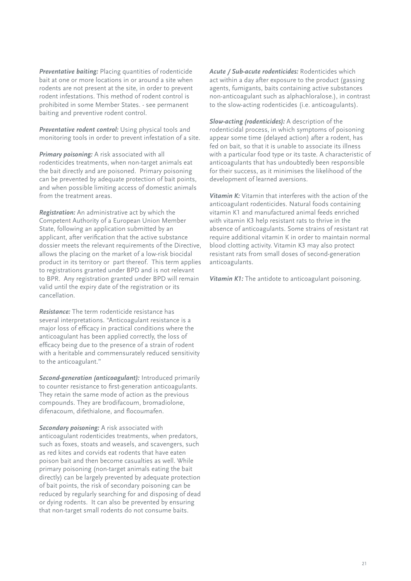*Preventative baiting:* Placing quantities of rodenticide bait at one or more locations in or around a site when rodents are not present at the site, in order to prevent rodent infestations. This method of rodent control is prohibited in some Member States. - see permanent baiting and preventive rodent control.

*Preventative rodent control:* Using physical tools and monitoring tools in order to prevent infestation of a site.

*Primary poisoning:* A risk associated with all rodenticides treatments, when non-target animals eat the bait directly and are poisoned. Primary poisoning can be prevented by adequate protection of bait points, and when possible limiting access of domestic animals from the treatment areas.

*Registration:* An administrative act by which the Competent Authority of a European Union Member State, following an application submitted by an applicant, after verification that the active substance dossier meets the relevant requirements of the Directive, allows the placing on the market of a low-risk biocidal product in its territory or part thereof. This term applies to registrations granted under BPD and is not relevant to BPR. Any registration granted under BPD will remain valid until the expiry date of the registration or its cancellation.

*Resistance:* The term rodenticide resistance has several interpretations. "Anticoagulant resistance is a major loss of efficacy in practical conditions where the anticoagulant has been applied correctly, the loss of efficacy being due to the presence of a strain of rodent with a heritable and commensurately reduced sensitivity to the anticoagulant."

*Second-generation (anticoagulant):* Introduced primarily to counter resistance to first-generation anticoagulants. They retain the same mode of action as the previous compounds. They are brodifacoum, bromadiolone, difenacoum, difethialone, and flocoumafen.

*Secondary poisoning:* A risk associated with anticoagulant rodenticides treatments, when predators, such as foxes, stoats and weasels, and scavengers, such as red kites and corvids eat rodents that have eaten poison bait and then become casualties as well. While primary poisoning (non-target animals eating the bait directly) can be largely prevented by adequate protection of bait points, the risk of secondary poisoning can be reduced by regularly searching for and disposing of dead or dying rodents. It can also be prevented by ensuring that non-target small rodents do not consume baits.

*Acute / Sub-acute rodenticides:* Rodenticides which act within a day after exposure to the product (gassing agents, fumigants, baits containing active substances non-anticoagulant such as alphachloralose.), in contrast to the slow-acting rodenticides (i.e. anticoagulants).

*Slow-acting (rodenticides):* A description of the rodenticidal process, in which symptoms of poisoning appear some time (delayed action) after a rodent, has fed on bait, so that it is unable to associate its illness with a particular food type or its taste. A characteristic of anticoagulants that has undoubtedly been responsible for their success, as it minimises the likelihood of the development of learned aversions.

*Vitamin K:* Vitamin that interferes with the action of the anticoagulant rodenticides. Natural foods containing vitamin K1 and manufactured animal feeds enriched with vitamin K3 help resistant rats to thrive in the absence of anticoagulants. Some strains of resistant rat require additional vitamin K in order to maintain normal blood clotting activity. Vitamin K3 may also protect resistant rats from small doses of second-generation anticoagulants.

*Vitamin K1:* The antidote to anticoagulant poisoning.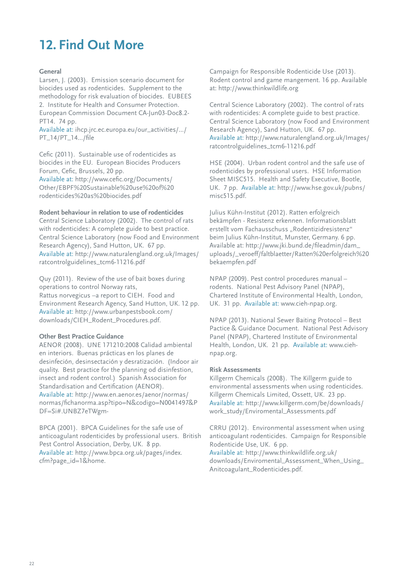# **12. Find Out More**

## **General**

Larsen, J. (2003). Emission scenario document for biocides used as rodenticides. Supplement to the methodology for risk evaluation of biocides. EUBEES 2. Institute for Health and Consumer Protection. European Commission Document CA-Jun03-Doc8.2- PT14. 74 pp.

Available at: ihcp.jrc.ec.europa.eu/our\_activities/.../ PT\_14/PT\_14.../file

Cefic (2011). Sustainable use of rodenticides as biocides in the EU. European Biocides Producers Forum, Cefic, Brussels, 20 pp.

Available at: http://www.cefic.org/Documents/ Other/EBPF%20Sustainable%20use%20of%20 rodenticides%20as%20biocides.pdf

#### **Rodent behaviour in relation to use of rodenticides**

Central Science Laboratory (2002). The control of rats with rodenticides: A complete guide to best practice. Central Science Laboratory (now Food and Environment Research Agency), Sand Hutton, UK. 67 pp. Available at: http://www.naturalengland.org.uk/Images/ ratcontrolguidelines\_tcm6-11216.pdf

Quy (2011). Review of the use of bait boxes during operations to control Norway rats, Rattus norvegicus –a report to CIEH. Food and Environment Research Agency, Sand Hutton, UK. 12 pp. Available at: http://www.urbanpestsbook.com/ downloads/CIEH\_Rodent\_Procedures.pdf.

## **Other Best Practice Guidance**

AENOR (2008). UNE 171210:2008 Calidad ambiental en interiors. Buenas prácticas en los planes de desinfeción, desinsectación y desratización. (Indoor air quality. Best practice for the planning od disinfestion, insect and rodent control.) Spanish Association for Standardisation and Certification (AENOR). Available at: http://www.en.aenor.es/aenor/normas/ normas/fichanorma.asp?tipo=N&codigo=N0041497&P DF=Si#.UNBZ7eTWgm-

BPCA (2001). BPCA Guidelines for the safe use of anticoagulant rodenticides by professional users. British Pest Control Association, Derby, UK. 8 pp. Available at: http://www.bpca.org.uk/pages/index. cfm?page\_id=1&home.

Campaign for Responsible Rodenticide Use (2013). Rodent control and game mangement. 16 pp. Available at: http://www.thinkwildlife.org

Central Science Laboratory (2002). The control of rats with rodenticides: A complete guide to best practice. Central Science Laboratory (now Food and Environment Research Agency), Sand Hutton, UK. 67 pp. Available at: http://www.naturalengland.org.uk/Images/ ratcontrolguidelines\_tcm6-11216.pdf

HSE (2004). Urban rodent control and the safe use of rodenticides by professional users. HSE Information Sheet MISC515. Health and Safety Executive, Bootle, UK. 7 pp. Available at: http://www.hse.gov.uk/pubns/ misc515.pdf.

Julius Kühn-Institut (2012). Ratten erfolgreich bekämpfen - Resistenz erkennen. Informationsblatt erstellt vom Fachausschuss "Rodentizidresistenz" beim Julius Kühn-Institut, Munster, Germany. 6 pp. Available at: http://www.jki.bund.de/fileadmin/dam\_ uploads/\_veroeff/faltblaetter/Ratten%20erfolgreich%20 bekaempfen.pdf

NPAP (2009). Pest control procedures manual – rodents. National Pest Advisory Panel (NPAP), Chartered Institute of Environmental Health, London, UK. 31 pp. Available at: www.cieh-npap.org.

NPAP (2013). National Sewer Baiting Protocol – Best Pactice & Guidance Document. National Pest Advisory Panel (NPAP), Chartered Institute of Environmental Health, London, UK. 21 pp. Available at: www.ciehnpap.org.

#### **Risk Assessments**

Killgerm Chemicals (2008). The Killgerm guide to environmental assessments when using rodenticides. Killgerm Chemicals Limited, Ossett, UK. 23 pp. Available at: http://www.killgerm.com/be/downloads/ work\_study/Enviromental\_Assessments.pdf

CRRU (2012). Environmental assessment when using anticoagulant rodenticides. Campaign for Responsible Rodenticide Use, UK. 6 pp. Available at: http://www.thinkwildlife.org.uk/

downloads/Enviromental Assessment When Using Anitcoagulant\_Rodenticides.pdf.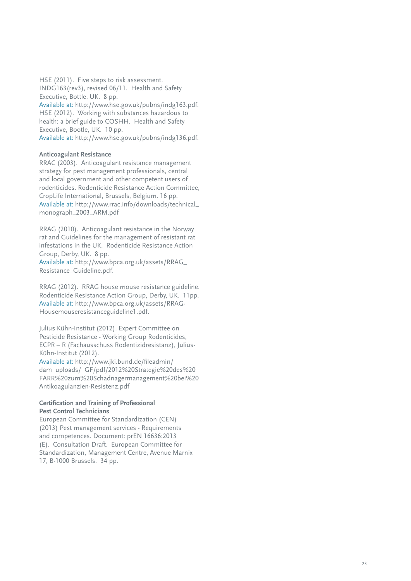HSE (2011). Five steps to risk assessment. INDG163(rev3), revised 06/11. Health and Safety Executive, Bottle, UK. 8 pp. Available at: http://www.hse.gov.uk/pubns/indg163.pdf. HSE (2012). Working with substances hazardous to health: a brief guide to COSHH. Health and Safety Executive, Bootle, UK. 10 pp. Available at: http://www.hse.gov.uk/pubns/indg136.pdf.

#### **Anticoagulant Resistance**

RRAC (2003). Anticoagulant resistance management strategy for pest management professionals, central and local government and other competent users of rodenticides. Rodenticide Resistance Action Committee, CropLife International, Brussels, Belgium. 16 pp. Available at: http://www.rrac.info/downloads/technical\_ monograph\_2003\_ARM.pdf

RRAG (2010). Anticoagulant resistance in the Norway rat and Guidelines for the management of resistant rat infestations in the UK. Rodenticide Resistance Action Group, Derby, UK. 8 pp.

Available at: http://www.bpca.org.uk/assets/RRAG\_ Resistance\_Guideline.pdf.

RRAG (2012). RRAG house mouse resistance guideline. Rodenticide Resistance Action Group, Derby, UK. 11pp. Available at: http://www.bpca.org.uk/assets/RRAG-Housemouseresistanceguideline1.pdf.

Julius Kühn-Institut (2012). Expert Committee on Pesticide Resistance - Working Group Rodenticides, ECPR – R (Fachausschuss Rodentizidresistanz), Julius-Kühn-Institut (2012).

Available at: http://www.jki.bund.de/fileadmin/ dam\_uploads/\_GF/pdf/2012%20Strategie%20des%20 FARR%20zum%20Schadnagermanagement%20bei%20 Antikoagulanzien-Resistenz.pdf

#### **Certification and Training of Professional Pest Control Technicians**

European Committee for Standardization (CEN) (2013) Pest management services - Requirements and competences. Document: prEN 16636:2013 (E). Consultation Draft. European Committee for Standardization, Management Centre, Avenue Marnix 17, B-1000 Brussels. 34 pp.